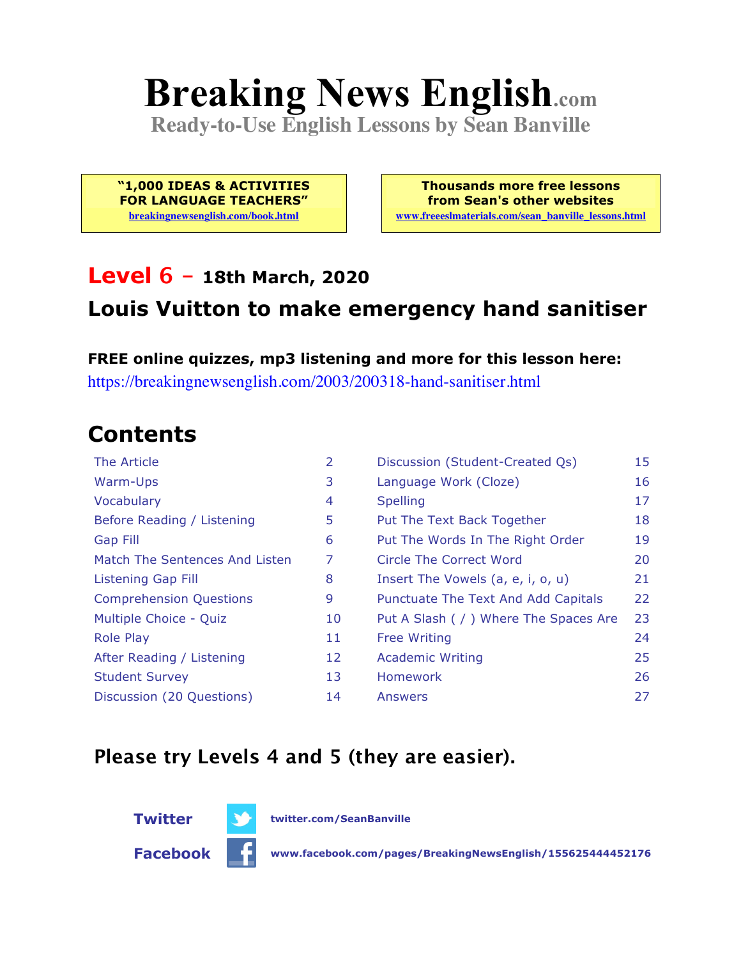# **Breaking News English.com**

**Ready-to-Use English Lessons by Sean Banville**

**"1,000 IDEAS & ACTIVITIES FOR LANGUAGE TEACHERS" breakingnewsenglish.com/book.html**

**Thousands more free lessons from Sean's other websites www.freeeslmaterials.com/sean\_banville\_lessons.html**

#### **Level 6 - 18th March, 2020**

#### **Louis Vuitton to make emergency hand sanitiser**

**FREE online quizzes, mp3 listening and more for this lesson here:** https://breakingnewsenglish.com/2003/200318-hand-sanitiser.html

### **Contents**

| The Article                    | 2  | Discussion (Student-Created Qs)        | 15 |
|--------------------------------|----|----------------------------------------|----|
| Warm-Ups                       | 3  | Language Work (Cloze)                  | 16 |
| Vocabulary                     | 4  | <b>Spelling</b>                        | 17 |
| Before Reading / Listening     | 5  | Put The Text Back Together             | 18 |
| <b>Gap Fill</b>                | 6  | Put The Words In The Right Order       | 19 |
| Match The Sentences And Listen | 7  | Circle The Correct Word                | 20 |
| Listening Gap Fill             | 8  | Insert The Vowels (a, e, i, o, u)      | 21 |
| <b>Comprehension Questions</b> | 9  | Punctuate The Text And Add Capitals    | 22 |
| Multiple Choice - Quiz         | 10 | Put A Slash ( / ) Where The Spaces Are | 23 |
| <b>Role Play</b>               | 11 | <b>Free Writing</b>                    | 24 |
| After Reading / Listening      | 12 | <b>Academic Writing</b>                | 25 |
| <b>Student Survey</b>          | 13 | Homework                               | 26 |
| Discussion (20 Questions)      | 14 | Answers                                | 27 |

#### **Please try Levels 4 and 5 (they are easier).**



**Facebook www.facebook.com/pages/BreakingNewsEnglish/155625444452176**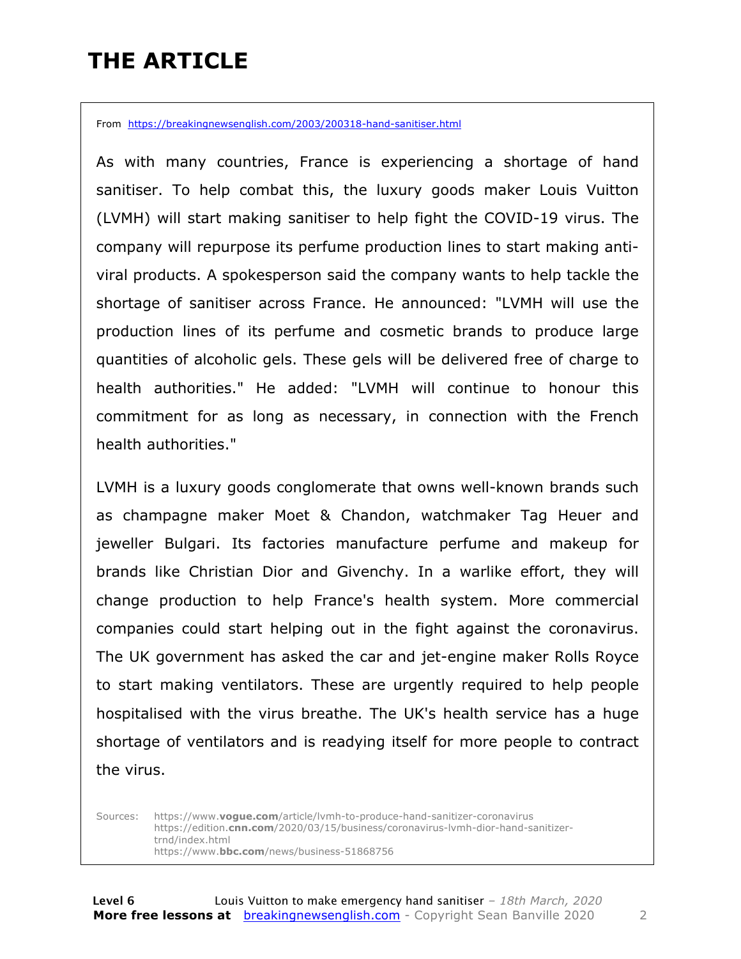### **THE ARTICLE**

From https://breakingnewsenglish.com/2003/200318-hand-sanitiser.html

As with many countries, France is experiencing a shortage of hand sanitiser. To help combat this, the luxury goods maker Louis Vuitton (LVMH) will start making sanitiser to help fight the COVID-19 virus. The company will repurpose its perfume production lines to start making antiviral products. A spokesperson said the company wants to help tackle the shortage of sanitiser across France. He announced: "LVMH will use the production lines of its perfume and cosmetic brands to produce large quantities of alcoholic gels. These gels will be delivered free of charge to health authorities." He added: "LVMH will continue to honour this commitment for as long as necessary, in connection with the French health authorities."

LVMH is a luxury goods conglomerate that owns well-known brands such as champagne maker Moet & Chandon, watchmaker Tag Heuer and jeweller Bulgari. Its factories manufacture perfume and makeup for brands like Christian Dior and Givenchy. In a warlike effort, they will change production to help France's health system. More commercial companies could start helping out in the fight against the coronavirus. The UK government has asked the car and jet-engine maker Rolls Royce to start making ventilators. These are urgently required to help people hospitalised with the virus breathe. The UK's health service has a huge shortage of ventilators and is readying itself for more people to contract the virus.

Sources: https://www.**vogue.com**/article/lvmh-to-produce-hand-sanitizer-coronavirus https://edition.**cnn.com**/2020/03/15/business/coronavirus-lvmh-dior-hand-sanitizertrnd/index.html https://www.**bbc.com**/news/business-51868756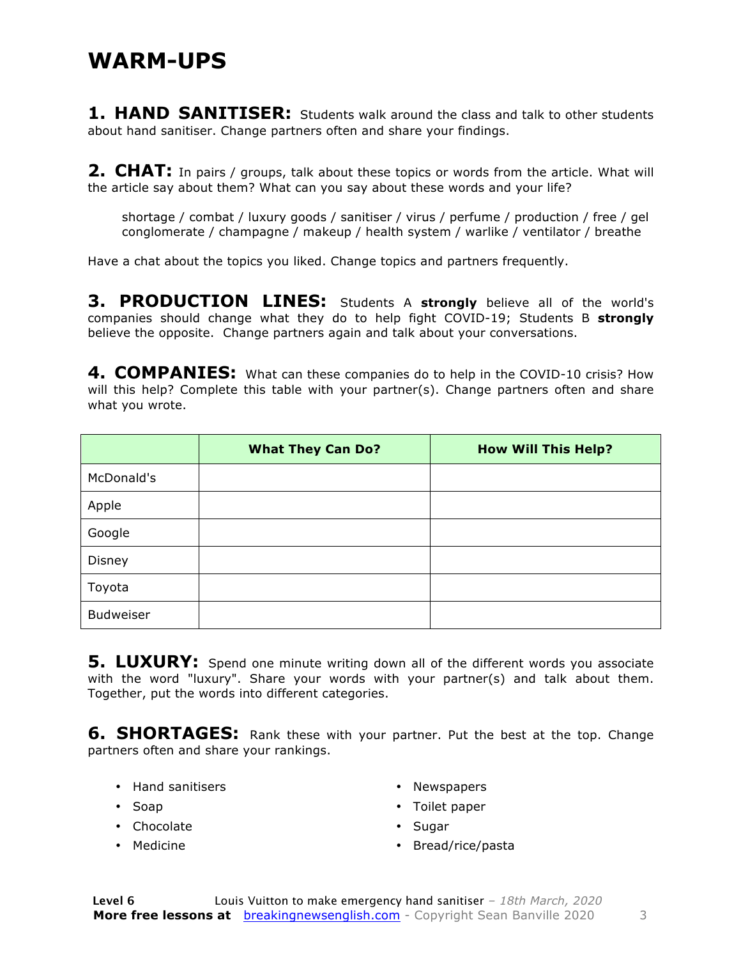#### **WARM-UPS**

**1. HAND SANITISER:** Students walk around the class and talk to other students about hand sanitiser. Change partners often and share your findings.

**2. CHAT:** In pairs / groups, talk about these topics or words from the article. What will the article say about them? What can you say about these words and your life?

shortage / combat / luxury goods / sanitiser / virus / perfume / production / free / gel conglomerate / champagne / makeup / health system / warlike / ventilator / breathe

Have a chat about the topics you liked. Change topics and partners frequently.

**3. PRODUCTION LINES:** Students A **strongly** believe all of the world's companies should change what they do to help fight COVID-19; Students B **strongly** believe the opposite. Change partners again and talk about your conversations.

**4. COMPANIES:** What can these companies do to help in the COVID-10 crisis? How will this help? Complete this table with your partner(s). Change partners often and share what you wrote.

|                  | <b>What They Can Do?</b> | <b>How Will This Help?</b> |
|------------------|--------------------------|----------------------------|
| McDonald's       |                          |                            |
| Apple            |                          |                            |
| Google           |                          |                            |
| Disney           |                          |                            |
| Toyota           |                          |                            |
| <b>Budweiser</b> |                          |                            |

**5. LUXURY:** Spend one minute writing down all of the different words you associate with the word "luxury". Share your words with your partner(s) and talk about them. Together, put the words into different categories.

**6. SHORTAGES:** Rank these with your partner. Put the best at the top. Change partners often and share your rankings.

• Hand sanitisers

• Newspapers

- Soap
- Chocolate
- Medicine
- Toilet paper
- Sugar
- Bread/rice/pasta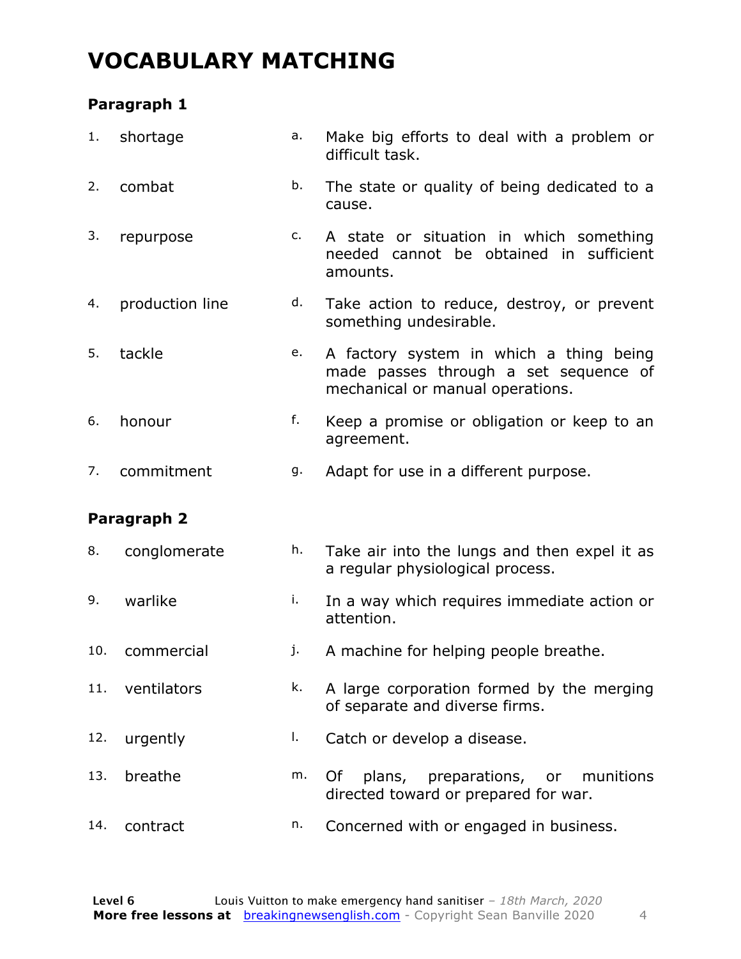### **VOCABULARY MATCHING**

#### **Paragraph 1**

| 1.  | shortage        | a. | Make big efforts to deal with a problem or<br>difficult task.                                                        |
|-----|-----------------|----|----------------------------------------------------------------------------------------------------------------------|
| 2.  | combat          | b. | The state or quality of being dedicated to a<br>cause.                                                               |
| 3.  | repurpose       | c. | A state or situation in which something<br>needed cannot be obtained in sufficient<br>amounts.                       |
| 4.  | production line | d. | Take action to reduce, destroy, or prevent<br>something undesirable.                                                 |
| 5.  | tackle          | e. | A factory system in which a thing being<br>made passes through a set sequence of<br>mechanical or manual operations. |
| 6.  | honour          | f. | Keep a promise or obligation or keep to an<br>agreement.                                                             |
| 7.  | commitment      | g. | Adapt for use in a different purpose.                                                                                |
|     | Paragraph 2     |    |                                                                                                                      |
| 8.  | conglomerate    | h. | Take air into the lungs and then expel it as                                                                         |
|     |                 |    | a regular physiological process.                                                                                     |
| 9.  | warlike         | i. | In a way which requires immediate action or<br>attention.                                                            |
| 10. | commercial      | j. | A machine for helping people breathe.                                                                                |
| 11. | ventilators     | k. | A large corporation formed by the merging<br>of separate and diverse firms.                                          |
| 12. | urgently        | I. | Catch or develop a disease.                                                                                          |
| 13. | breathe         | m. | Of<br>plans,<br>preparations, or<br>munitions<br>directed toward or prepared for war.                                |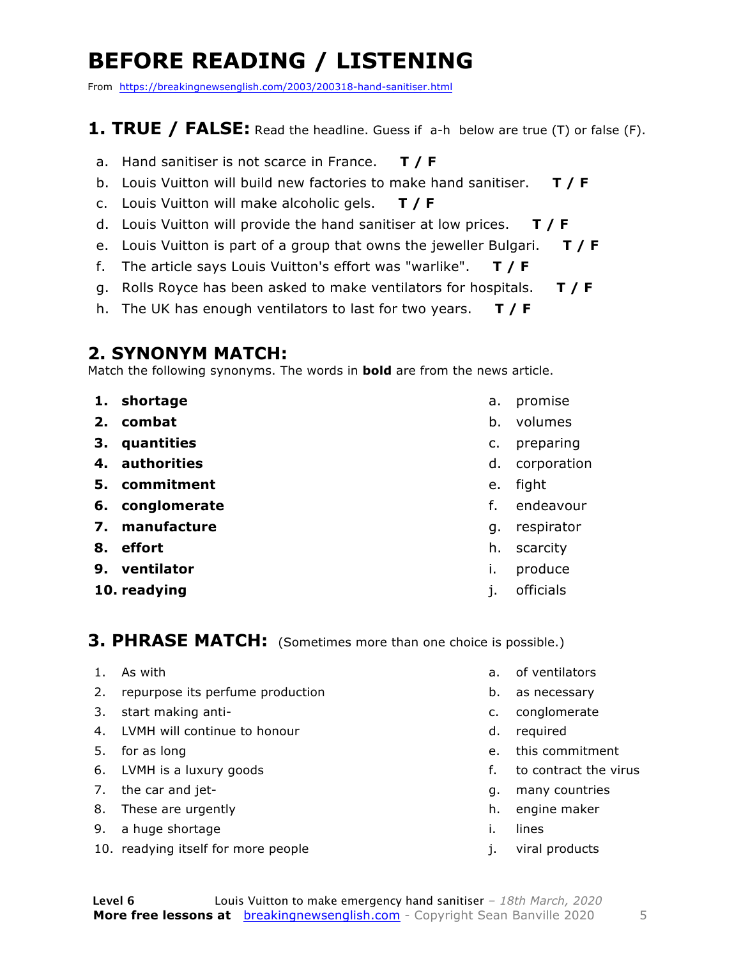### **BEFORE READING / LISTENING**

From https://breakingnewsenglish.com/2003/200318-hand-sanitiser.html

#### **1. TRUE / FALSE:** Read the headline. Guess if a-h below are true (T) or false (F).

- a. Hand sanitiser is not scarce in France. **T / F**
- b. Louis Vuitton will build new factories to make hand sanitiser. **T / F**
- c. Louis Vuitton will make alcoholic gels. **T / F**
- d. Louis Vuitton will provide the hand sanitiser at low prices. **T / F**
- e. Louis Vuitton is part of a group that owns the jeweller Bulgari. **T / F**
- f. The article says Louis Vuitton's effort was "warlike". **T / F**
- g. Rolls Royce has been asked to make ventilators for hospitals. **T / F**
- h. The UK has enough ventilators to last for two years. **T / F**

#### **2. SYNONYM MATCH:**

Match the following synonyms. The words in **bold** are from the news article.

- **1. shortage**
- **2. combat**
- **3. quantities**
- **4. authorities**
- **5. commitment**
- **6. conglomerate**
- **7. manufacture**
- **8. effort**
- **9. ventilator**
- **10. readying**
- a. promise
- b. volumes
- c. preparing
- d. corporation
- e. fight
- f. endeavour
- g. respirator
- h. scarcity
- i. produce
- j. officials

#### **3. PHRASE MATCH:** (Sometimes more than one choice is possible.)

- 1. As with
- 2. repurpose its perfume production
- 3. start making anti-
- 4. LVMH will continue to honour
- 5. for as long
- 6. LVMH is a luxury goods
- 7. the car and jet-
- 8. These are urgently
- 9. a huge shortage
- 10. readying itself for more people
- a. of ventilators
- b. as necessary
- c. conglomerate
- d. required
- e. this commitment
- f. to contract the virus
- g. many countries
- h. engine maker
- i. lines
- j. viral products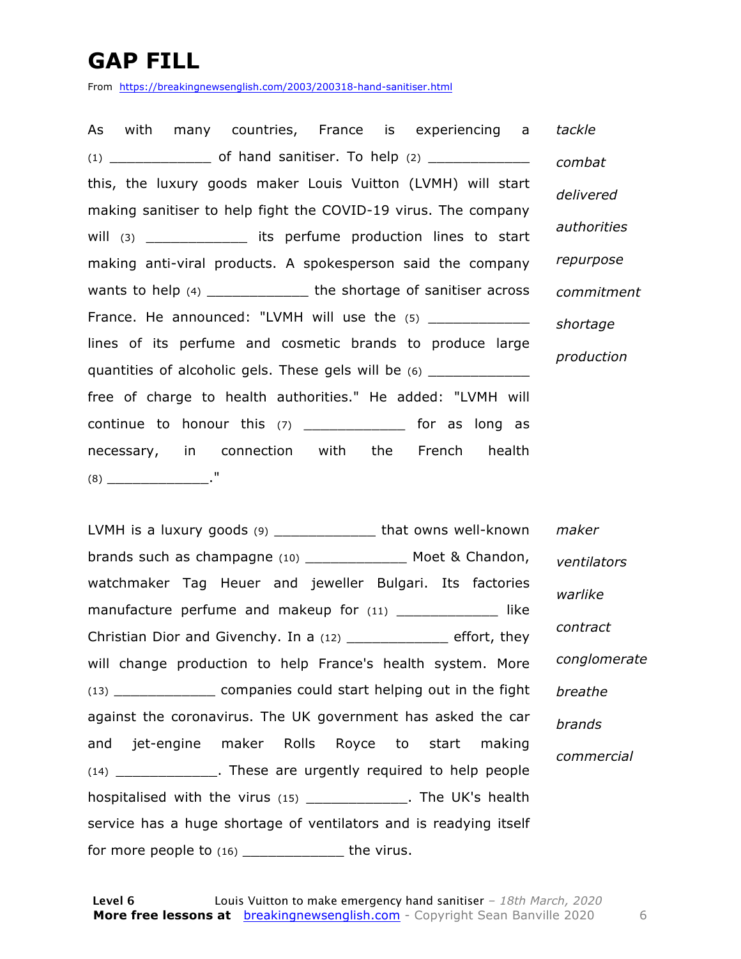### **GAP FILL**

From https://breakingnewsenglish.com/2003/200318-hand-sanitiser.html

As with many countries, France is experiencing a (1) \_\_\_\_\_\_\_\_\_\_\_\_ of hand sanitiser. To help (2) \_\_\_\_\_\_\_\_\_\_\_\_ this, the luxury goods maker Louis Vuitton (LVMH) will start making sanitiser to help fight the COVID-19 virus. The company will (3)  $\qquad \qquad$  its perfume production lines to start making anti-viral products. A spokesperson said the company wants to help (4) \_\_\_\_\_\_\_\_\_\_\_\_\_\_\_ the shortage of sanitiser across France. He announced: "LVMH will use the  $(5)$  \_\_\_\_\_\_\_\_\_\_\_\_ lines of its perfume and cosmetic brands to produce large quantities of alcoholic gels. These gels will be (6) \_\_\_\_\_\_\_\_\_\_ free of charge to health authorities." He added: "LVMH will continue to honour this  $(7)$  \_\_\_\_\_\_\_\_\_\_\_\_\_\_ for as long as necessary, in connection with the French health (8) \_\_\_\_\_\_\_\_\_\_\_\_." *tackle combat delivered authorities repurpose commitment shortage production*

LVMH is a luxury goods (9) \_\_\_\_\_\_\_\_\_\_\_\_\_ that owns well-known brands such as champagne (10) \_\_\_\_\_\_\_\_\_\_\_\_ Moet & Chandon, watchmaker Tag Heuer and jeweller Bulgari. Its factories manufacture perfume and makeup for (11) \_\_\_\_\_\_\_\_\_\_\_\_\_\_ like Christian Dior and Givenchy. In a (12) \_\_\_\_\_\_\_\_\_\_\_\_ effort, they will change production to help France's health system. More (13) \_\_\_\_\_\_\_\_\_\_\_\_ companies could start helping out in the fight against the coronavirus. The UK government has asked the car and jet-engine maker Rolls Royce to start making (14) \_\_\_\_\_\_\_\_\_\_\_\_. These are urgently required to help people hospitalised with the virus (15) \_\_\_\_\_\_\_\_\_\_\_\_\_\_. The UK's health service has a huge shortage of ventilators and is readying itself for more people to  $(16)$  \_\_\_\_\_\_\_\_\_\_\_\_\_\_\_\_\_\_\_\_ the virus. *maker ventilators warlike contract conglomerate breathe brands commercial*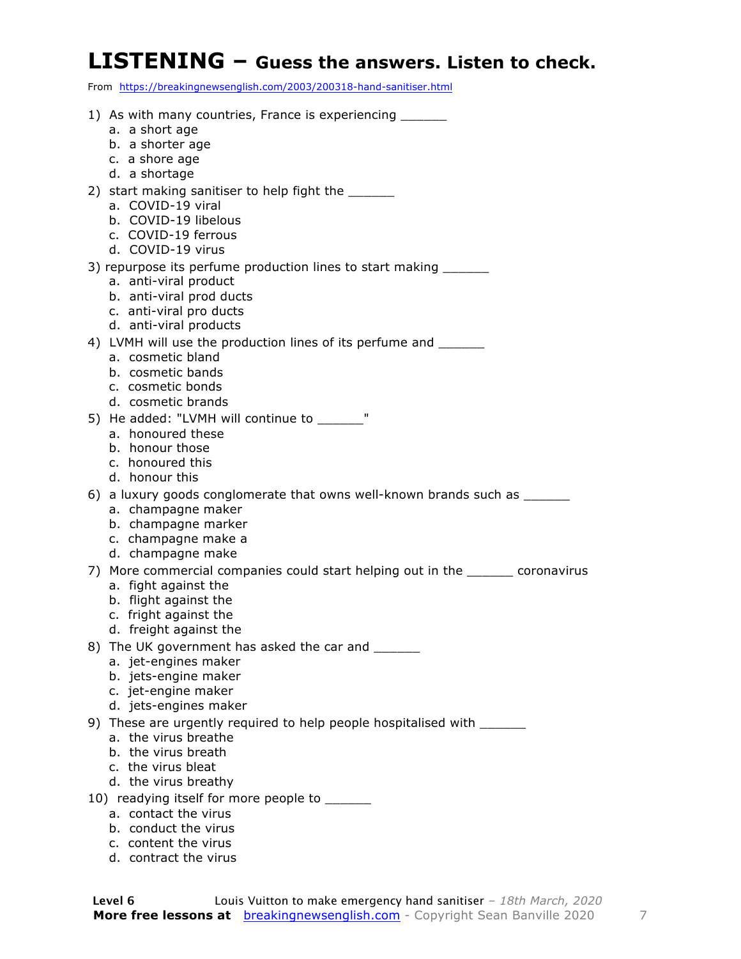#### **LISTENING – Guess the answers. Listen to check.**

From https://breakingnewsenglish.com/2003/200318-hand-sanitiser.html

| 1) As with many countries, France is experiencing _______                             |
|---------------------------------------------------------------------------------------|
| a. a short age                                                                        |
| b. a shorter age                                                                      |
| c. a shore age                                                                        |
| d. a shortage                                                                         |
| 2) start making sanitiser to help fight the ______                                    |
| a. COVID-19 viral                                                                     |
| b. COVID-19 libelous                                                                  |
| c. COVID-19 ferrous                                                                   |
| d. COVID-19 virus                                                                     |
| 3) repurpose its perfume production lines to start making _______                     |
| a. anti-viral product                                                                 |
| b. anti-viral prod ducts                                                              |
| c. anti-viral pro ducts<br>d. anti-viral products                                     |
|                                                                                       |
| 4) LVMH will use the production lines of its perfume and _______<br>a. cosmetic bland |
| b. cosmetic bands                                                                     |
| c. cosmetic bonds                                                                     |
| d. cosmetic brands                                                                    |
| 5) He added: "LVMH will continue to _______"                                          |
| a. honoured these                                                                     |
| b. honour those                                                                       |
| c. honoured this                                                                      |
| d. honour this                                                                        |
| 6) a luxury goods conglomerate that owns well-known brands such as _______            |
| a. champagne maker                                                                    |
| b. champagne marker                                                                   |
| c. champagne make a                                                                   |
| d. champagne make                                                                     |
| 7) More commercial companies could start helping out in the _______ coronavirus       |
| a. fight against the                                                                  |
| b. flight against the                                                                 |
| c. fright against the                                                                 |
| d. freight against the                                                                |
| 8) The UK government has asked the car and ______                                     |
| a. jet-engines maker                                                                  |
| b. jets-engine maker                                                                  |
| c. jet-engine maker                                                                   |
| d. jets-engines maker                                                                 |
| 9) These are urgently required to help people hospitalised with ______                |
| a. the virus breathe                                                                  |
| b. the virus breath                                                                   |
| c. the virus bleat                                                                    |
| d. the virus breathy                                                                  |
| 10) readying itself for more people to _____                                          |
| a. contact the virus                                                                  |

- b. conduct the virus
- c. content the virus
- d. contract the virus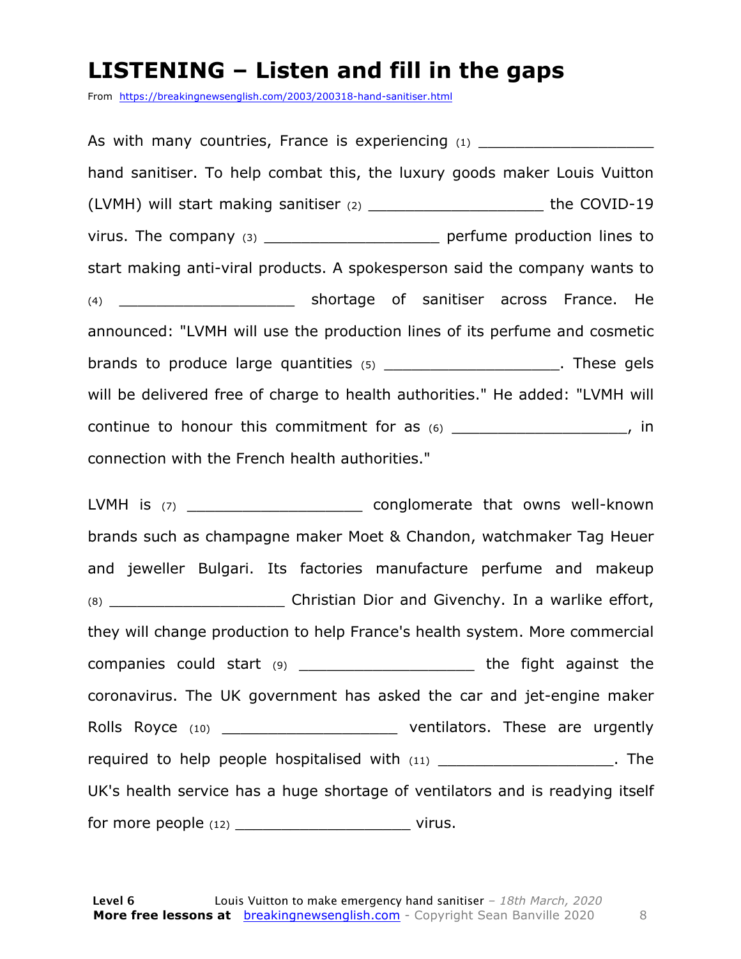#### **LISTENING – Listen and fill in the gaps**

From https://breakingnewsenglish.com/2003/200318-hand-sanitiser.html

As with many countries, France is experiencing  $(1)$ hand sanitiser. To help combat this, the luxury goods maker Louis Vuitton (LVMH) will start making sanitiser (2) \_\_\_\_\_\_\_\_\_\_\_\_\_\_\_\_\_\_\_ the COVID-19 virus. The company (3) \_\_\_\_\_\_\_\_\_\_\_\_\_\_\_\_\_\_\_ perfume production lines to start making anti-viral products. A spokesperson said the company wants to (4) \_\_\_\_\_\_\_\_\_\_\_\_\_\_\_\_\_\_\_ shortage of sanitiser across France. He announced: "LVMH will use the production lines of its perfume and cosmetic brands to produce large quantities  $(5)$  \_\_\_\_\_\_\_\_\_\_\_\_\_\_\_\_\_\_\_\_\_\_. These gels will be delivered free of charge to health authorities." He added: "LVMH will continue to honour this commitment for as  $(6)$  \_\_\_\_\_\_\_\_\_\_\_\_\_\_\_\_\_\_\_\_\_, in connection with the French health authorities."

LVMH is (7) \_\_\_\_\_\_\_\_\_\_\_\_\_\_\_\_\_\_\_\_\_\_\_\_\_\_\_ conglomerate that owns well-known brands such as champagne maker Moet & Chandon, watchmaker Tag Heuer and jeweller Bulgari. Its factories manufacture perfume and makeup (8) Christian Dior and Givenchy. In a warlike effort, they will change production to help France's health system. More commercial companies could start (9) \_\_\_\_\_\_\_\_\_\_\_\_\_\_\_\_\_\_\_ the fight against the coronavirus. The UK government has asked the car and jet-engine maker Rolls Royce (10) \_\_\_\_\_\_\_\_\_\_\_\_\_\_\_\_\_\_\_\_\_\_\_\_\_\_ ventilators. These are urgently required to help people hospitalised with  $(11)$   $(12)$ UK's health service has a huge shortage of ventilators and is readying itself for more people (12) \_\_\_\_\_\_\_\_\_\_\_\_\_\_\_\_\_\_\_ virus.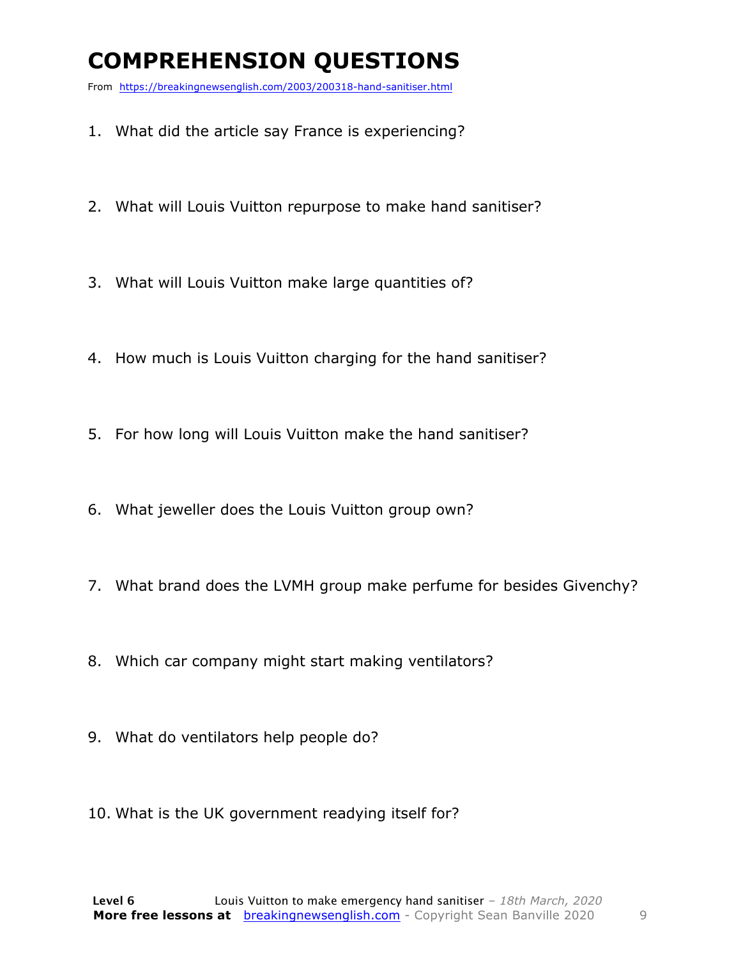### **COMPREHENSION QUESTIONS**

From https://breakingnewsenglish.com/2003/200318-hand-sanitiser.html

- 1. What did the article say France is experiencing?
- 2. What will Louis Vuitton repurpose to make hand sanitiser?
- 3. What will Louis Vuitton make large quantities of?
- 4. How much is Louis Vuitton charging for the hand sanitiser?
- 5. For how long will Louis Vuitton make the hand sanitiser?
- 6. What jeweller does the Louis Vuitton group own?
- 7. What brand does the LVMH group make perfume for besides Givenchy?
- 8. Which car company might start making ventilators?
- 9. What do ventilators help people do?
- 10. What is the UK government readying itself for?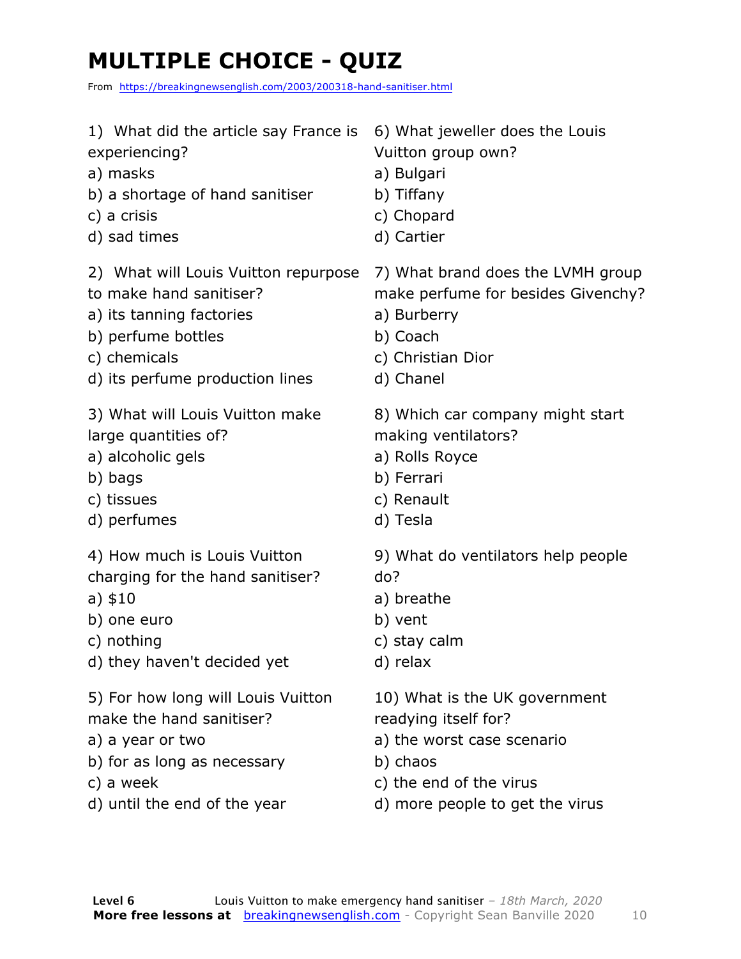### **MULTIPLE CHOICE - QUIZ**

From https://breakingnewsenglish.com/2003/200318-hand-sanitiser.html

| 1) What did the article say France is | 6) What jeweller does the Louis    |
|---------------------------------------|------------------------------------|
| experiencing?                         | Vuitton group own?                 |
| a) masks                              | a) Bulgari                         |
| b) a shortage of hand sanitiser       | b) Tiffany                         |
| c) a crisis                           | c) Chopard                         |
| d) sad times                          | d) Cartier                         |
| 2) What will Louis Vuitton repurpose  | 7) What brand does the LVMH group  |
| to make hand sanitiser?               | make perfume for besides Givenchy? |
| a) its tanning factories              | a) Burberry                        |
| b) perfume bottles                    | b) Coach                           |
| c) chemicals                          | c) Christian Dior                  |
| d) its perfume production lines       | d) Chanel                          |
| 3) What will Louis Vuitton make       | 8) Which car company might start   |
| large quantities of?                  | making ventilators?                |
| a) alcoholic gels                     | a) Rolls Royce                     |
| b) bags                               | b) Ferrari                         |
| c) tissues                            | c) Renault                         |
| d) perfumes                           | d) Tesla                           |
| 4) How much is Louis Vuitton          | 9) What do ventilators help people |
| charging for the hand sanitiser?      | do?                                |
| a) $$10$                              | a) breathe                         |
| b) one euro                           | b) vent                            |
| c) nothing                            | c) stay calm                       |
| d) they haven't decided yet           | d) relax                           |
| 5) For how long will Louis Vuitton    | 10) What is the UK government      |
| make the hand sanitiser?              | readying itself for?               |
| a) a year or two                      | a) the worst case scenario         |
| b) for as long as necessary           | b) chaos                           |
| c) a week                             | c) the end of the virus            |

d) until the end of the year d) more people to get the virus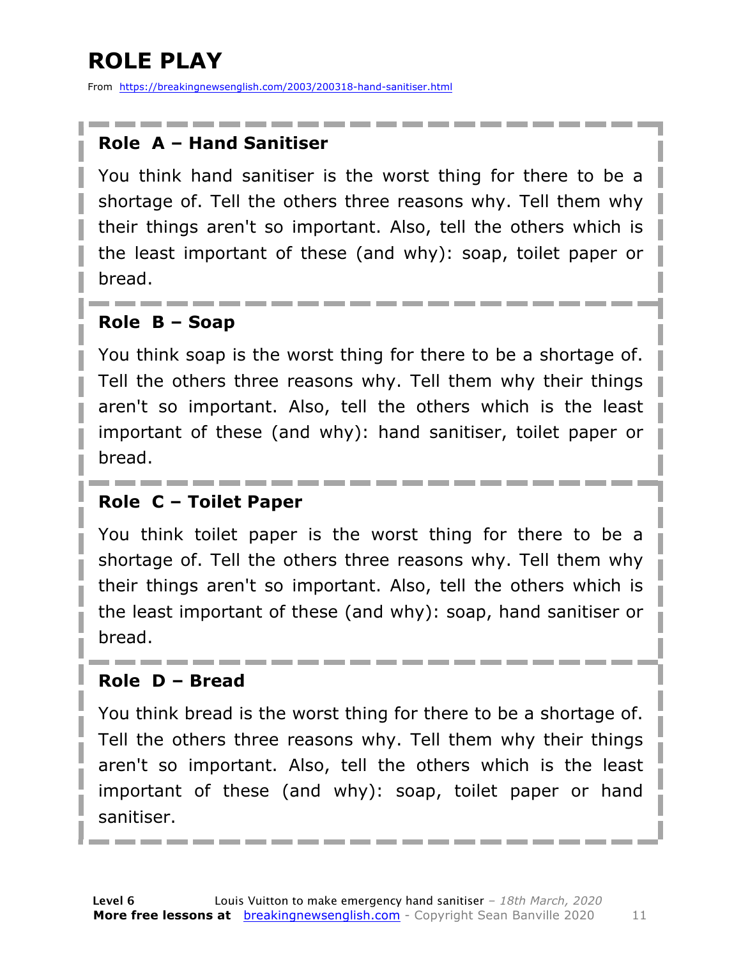### **ROLE PLAY**

From https://breakingnewsenglish.com/2003/200318-hand-sanitiser.html

#### **Role A – Hand Sanitiser**

You think hand sanitiser is the worst thing for there to be a shortage of. Tell the others three reasons why. Tell them why their things aren't so important. Also, tell the others which is the least important of these (and why): soap, toilet paper or bread.

#### **Role B – Soap**

You think soap is the worst thing for there to be a shortage of. Tell the others three reasons why. Tell them why their things aren't so important. Also, tell the others which is the least important of these (and why): hand sanitiser, toilet paper or bread.

#### **Role C – Toilet Paper**

You think toilet paper is the worst thing for there to be a shortage of. Tell the others three reasons why. Tell them why their things aren't so important. Also, tell the others which is the least important of these (and why): soap, hand sanitiser or bread.

#### **Role D – Bread**

You think bread is the worst thing for there to be a shortage of. Tell the others three reasons why. Tell them why their things aren't so important. Also, tell the others which is the least important of these (and why): soap, toilet paper or hand sanitiser.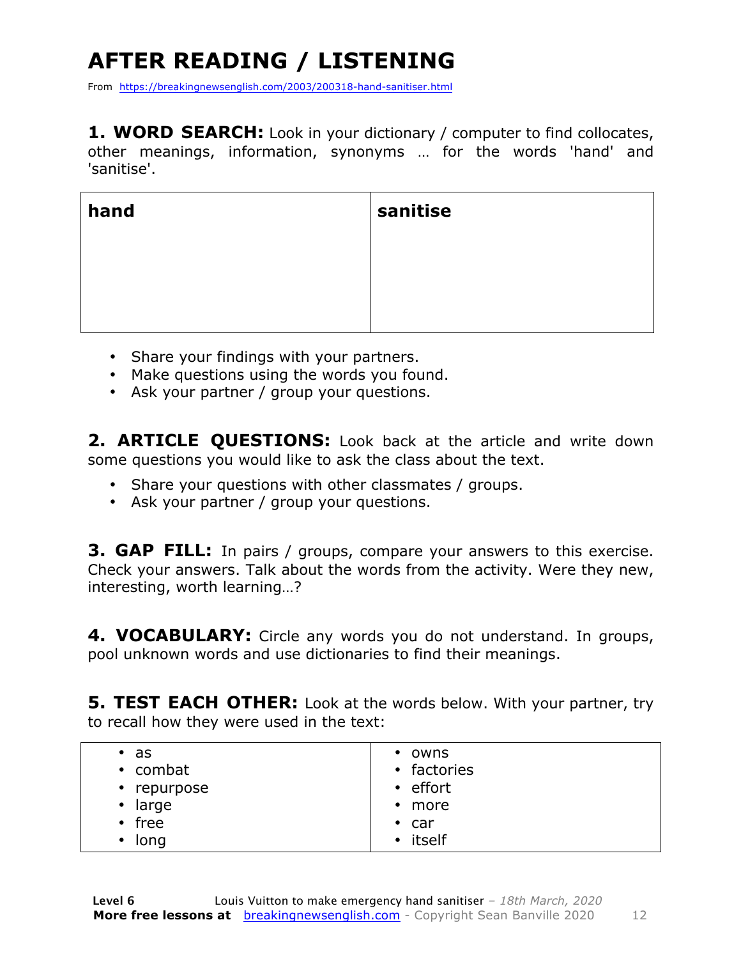## **AFTER READING / LISTENING**

From https://breakingnewsenglish.com/2003/200318-hand-sanitiser.html

1. WORD SEARCH: Look in your dictionary / computer to find collocates, other meanings, information, synonyms … for the words 'hand' and 'sanitise'.

| hand | sanitise |
|------|----------|
|      |          |
|      |          |
|      |          |

- Share your findings with your partners.
- Make questions using the words you found.
- Ask your partner / group your questions.

**2. ARTICLE QUESTIONS:** Look back at the article and write down some questions you would like to ask the class about the text.

- Share your questions with other classmates / groups.
- Ask your partner / group your questions.

**3. GAP FILL:** In pairs / groups, compare your answers to this exercise. Check your answers. Talk about the words from the activity. Were they new, interesting, worth learning…?

**4. VOCABULARY:** Circle any words you do not understand. In groups, pool unknown words and use dictionaries to find their meanings.

**5. TEST EACH OTHER:** Look at the words below. With your partner, try to recall how they were used in the text:

| $\cdot$ as    | • owns        |
|---------------|---------------|
| • combat      | • factories   |
| • repurpose   | • effort      |
| $\cdot$ large | $\cdot$ more  |
| $\cdot$ free  | $\bullet$ car |
| $\cdot$ long  | • itself      |
|               |               |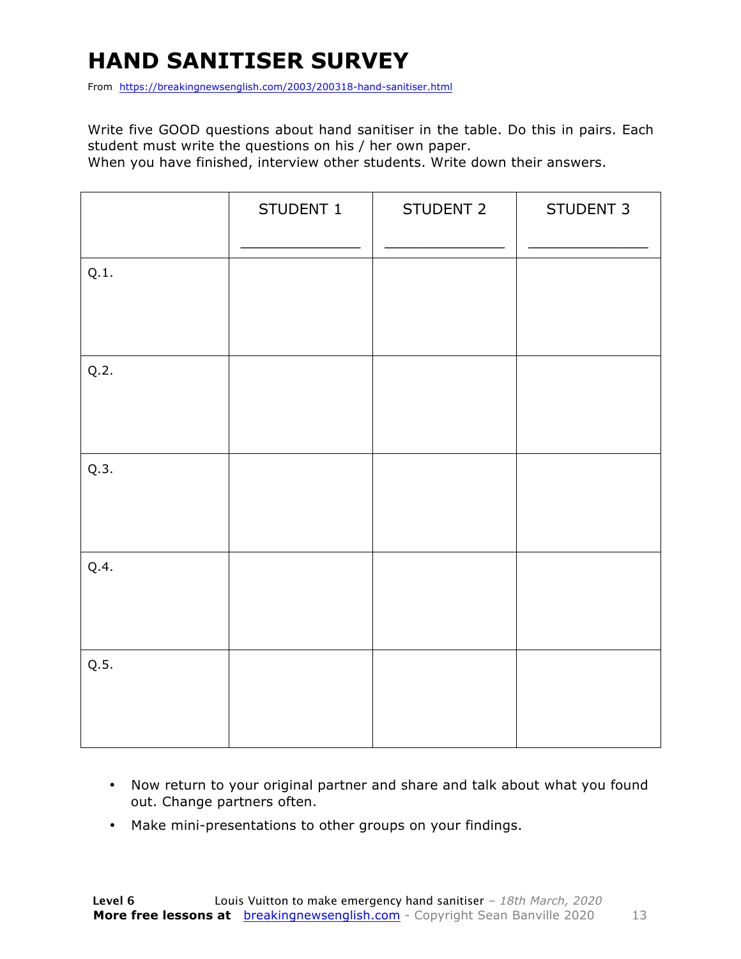### **HAND SANITISER SURVEY**

From https://breakingnewsenglish.com/2003/200318-hand-sanitiser.html

Write five GOOD questions about hand sanitiser in the table. Do this in pairs. Each student must write the questions on his / her own paper.

When you have finished, interview other students. Write down their answers.

|      | STUDENT 1 | STUDENT 2 | STUDENT 3 |
|------|-----------|-----------|-----------|
| Q.1. |           |           |           |
| Q.2. |           |           |           |
| Q.3. |           |           |           |
| Q.4. |           |           |           |
| Q.5. |           |           |           |

- Now return to your original partner and share and talk about what you found out. Change partners often.
- Make mini-presentations to other groups on your findings.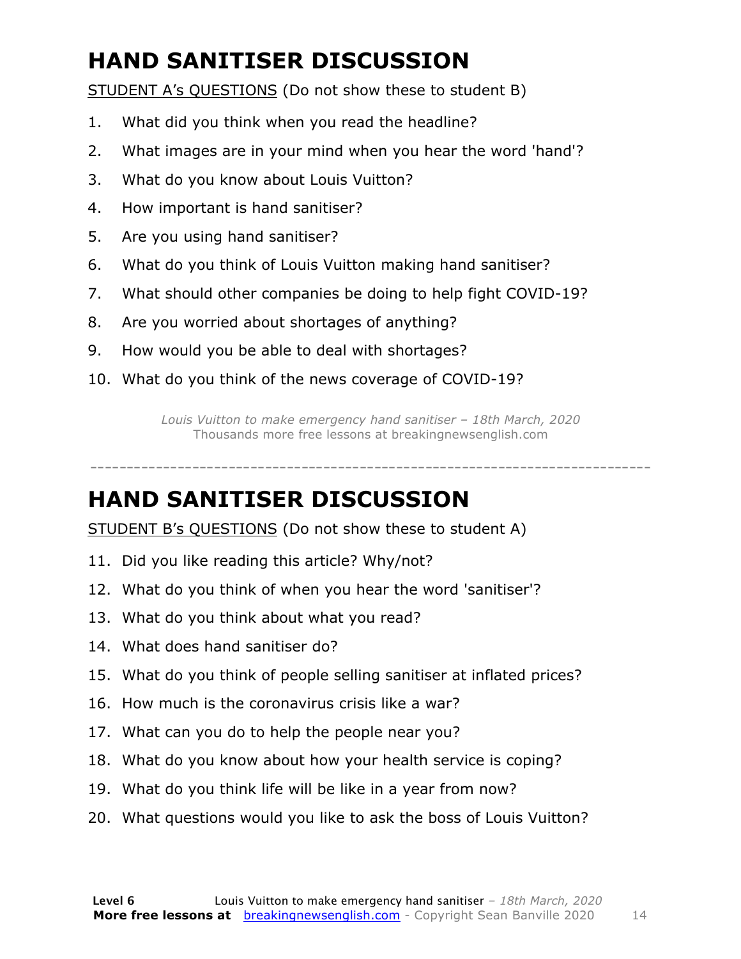### **HAND SANITISER DISCUSSION**

STUDENT A's QUESTIONS (Do not show these to student B)

- 1. What did you think when you read the headline?
- 2. What images are in your mind when you hear the word 'hand'?
- 3. What do you know about Louis Vuitton?
- 4. How important is hand sanitiser?
- 5. Are you using hand sanitiser?
- 6. What do you think of Louis Vuitton making hand sanitiser?
- 7. What should other companies be doing to help fight COVID-19?
- 8. Are you worried about shortages of anything?
- 9. How would you be able to deal with shortages?
- 10. What do you think of the news coverage of COVID-19?

*Louis Vuitton to make emergency hand sanitiser – 18th March, 2020* Thousands more free lessons at breakingnewsenglish.com

-----------------------------------------------------------------------------

#### **HAND SANITISER DISCUSSION**

STUDENT B's QUESTIONS (Do not show these to student A)

- 11. Did you like reading this article? Why/not?
- 12. What do you think of when you hear the word 'sanitiser'?
- 13. What do you think about what you read?
- 14. What does hand sanitiser do?
- 15. What do you think of people selling sanitiser at inflated prices?
- 16. How much is the coronavirus crisis like a war?
- 17. What can you do to help the people near you?
- 18. What do you know about how your health service is coping?
- 19. What do you think life will be like in a year from now?
- 20. What questions would you like to ask the boss of Louis Vuitton?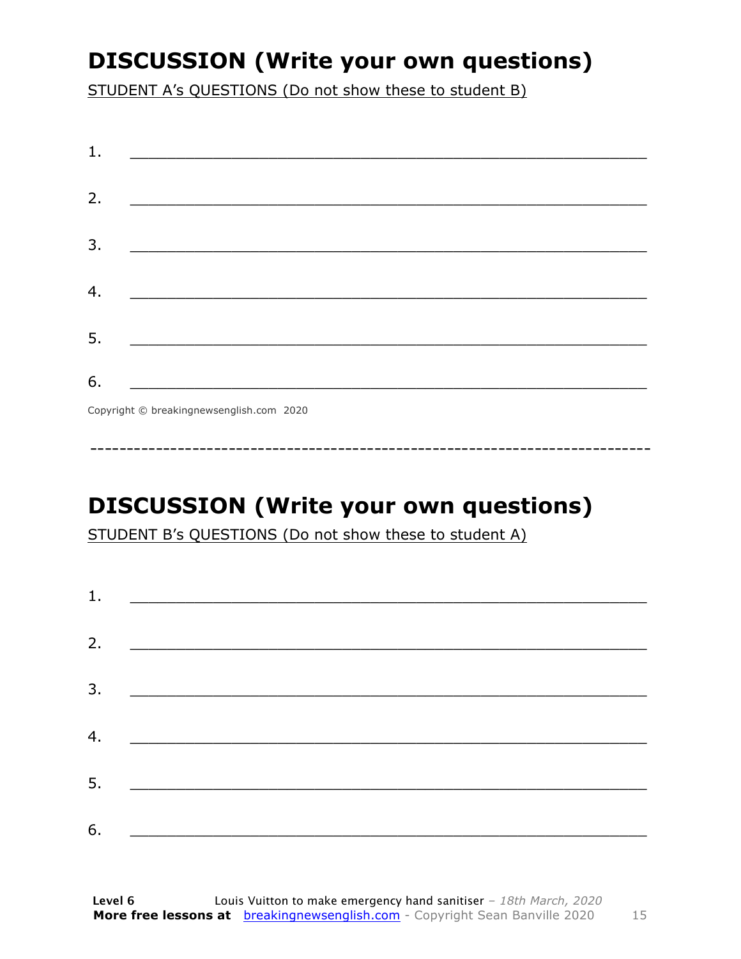### **DISCUSSION (Write your own questions)**

STUDENT A's QUESTIONS (Do not show these to student B)

| 1. |                                           |
|----|-------------------------------------------|
|    |                                           |
| 2. |                                           |
|    |                                           |
| 3. |                                           |
|    |                                           |
| 4. |                                           |
| 5. |                                           |
|    |                                           |
| 6. |                                           |
|    | Convright © breaking newsenglish com 2020 |

Copyright © breakingnewsenglish.com 2020

### **DISCUSSION (Write your own questions)**

STUDENT B's QUESTIONS (Do not show these to student A)

| 1. |                                                                                                                         |  |  |
|----|-------------------------------------------------------------------------------------------------------------------------|--|--|
|    |                                                                                                                         |  |  |
| 2. | <u> 1980 - Andrea Stationer, fransk politiker (d. 1980)</u>                                                             |  |  |
| 3. |                                                                                                                         |  |  |
|    |                                                                                                                         |  |  |
| 4. | <u> 1980 - Jan Samuel Barbara, margaret eta idazlea (h. 1980).</u>                                                      |  |  |
| 5. | <u> 1986 - Johann Stoff, deutscher Stoffen und der Stoffen und der Stoffen und der Stoffen und der Stoffen und der </u> |  |  |
|    |                                                                                                                         |  |  |
| 6. | <u> 1989 - Johann John Stone, market fan it ferskearre fan it ferskearre fan it ferskearre fan it ferskearre fan i</u>  |  |  |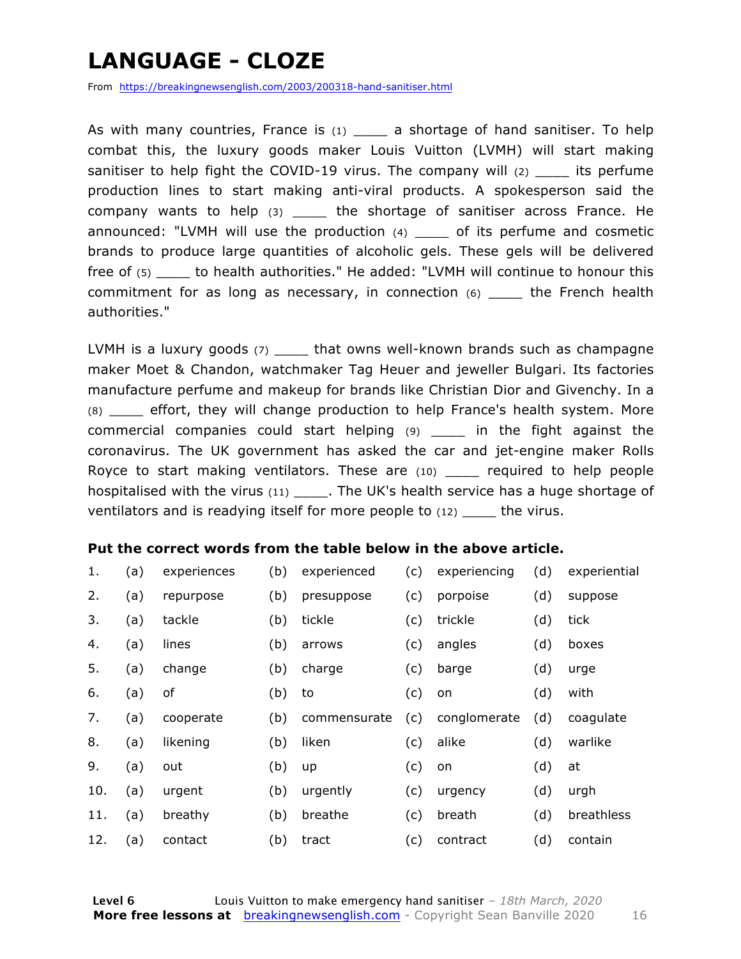### **LANGUAGE - CLOZE**

From https://breakingnewsenglish.com/2003/200318-hand-sanitiser.html

As with many countries, France is  $(1)$  a shortage of hand sanitiser. To help combat this, the luxury goods maker Louis Vuitton (LVMH) will start making sanitiser to help fight the COVID-19 virus. The company will  $(2)$  its perfume production lines to start making anti-viral products. A spokesperson said the company wants to help (3) \_\_\_\_ the shortage of sanitiser across France. He announced: "LVMH will use the production (4) \_\_\_\_ of its perfume and cosmetic brands to produce large quantities of alcoholic gels. These gels will be delivered free of (5) \_\_\_\_ to health authorities." He added: "LVMH will continue to honour this commitment for as long as necessary, in connection (6) \_\_\_\_ the French health authorities."

LVMH is a luxury goods (7) \_\_\_\_\_ that owns well-known brands such as champagne maker Moet & Chandon, watchmaker Tag Heuer and jeweller Bulgari. Its factories manufacture perfume and makeup for brands like Christian Dior and Givenchy. In a (8) \_\_\_\_ effort, they will change production to help France's health system. More commercial companies could start helping (9) \_\_\_\_ in the fight against the coronavirus. The UK government has asked the car and jet-engine maker Rolls Royce to start making ventilators. These are (10) \_\_\_\_ required to help people hospitalised with the virus  $(11)$  . The UK's health service has a huge shortage of ventilators and is readying itself for more people to (12) \_\_\_\_ the virus.

#### **Put the correct words from the table below in the above article.**

| 1.  | (a) | experiences | (b) | experienced  | (c) | experiencing | (d) | experiential |
|-----|-----|-------------|-----|--------------|-----|--------------|-----|--------------|
| 2.  | (a) | repurpose   | (b) | presuppose   | (c) | porpoise     | (d) | suppose      |
| 3.  | (a) | tackle      | (b) | tickle       | (c) | trickle      | (d) | tick         |
| 4.  | (a) | lines       | (b) | arrows       | (c) | angles       | (d) | boxes        |
| 5.  | (a) | change      | (b) | charge       | (c) | barge        | (d) | urge         |
| 6.  | (a) | of          | (b) | to           | (c) | on           | (d) | with         |
| 7.  | (a) | cooperate   | (b) | commensurate | (c) | conglomerate | (d) | coagulate    |
| 8.  | (a) | likening    | (b) | liken        | (c) | alike        | (d) | warlike      |
| 9.  | (a) | out         | (b) | up           | (c) | on           | (d) | at           |
| 10. | (a) | urgent      | (b) | urgently     | (c) | urgency      | (d) | urgh         |
| 11. | (a) | breathy     | (b) | breathe      | (c) | breath       | (d) | breathless   |
| 12. | (a) | contact     | (b) | tract        | (c) | contract     | (d) | contain      |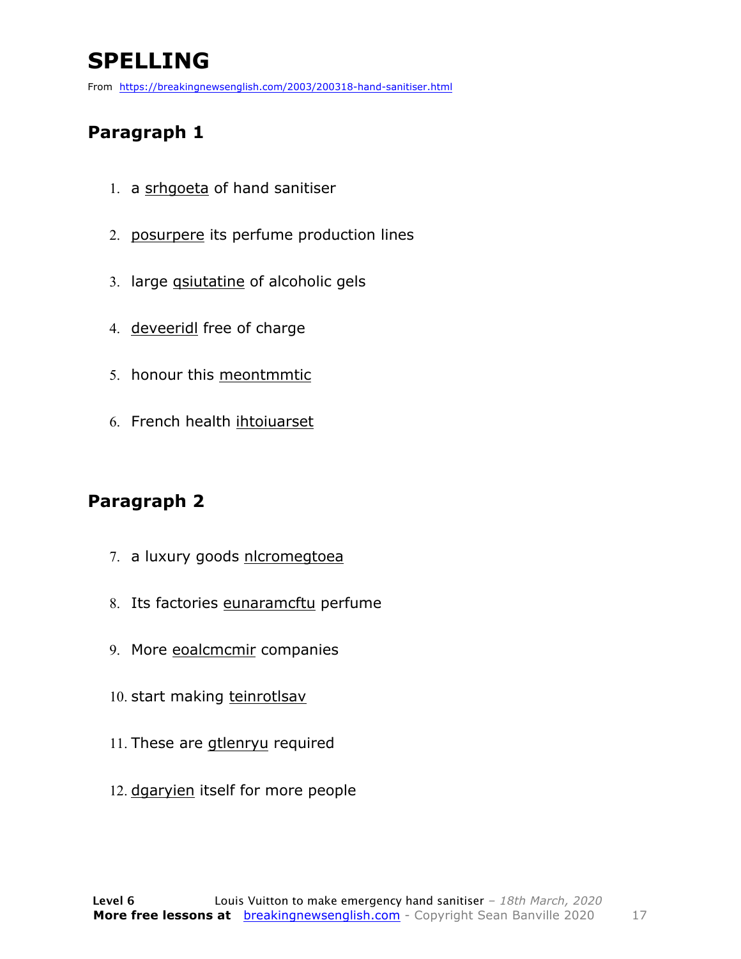### **SPELLING**

From https://breakingnewsenglish.com/2003/200318-hand-sanitiser.html

#### **Paragraph 1**

- 1. a srhgoeta of hand sanitiser
- 2. posurpere its perfume production lines
- 3. large qsiutatine of alcoholic gels
- 4. deveeridl free of charge
- 5. honour this meontmmtic
- 6. French health ihtoiuarset

#### **Paragraph 2**

- 7. a luxury goods nlcromegtoea
- 8. Its factories eunaramcftu perfume
- 9. More eoalcmcmir companies
- 10. start making teinrotlsav
- 11. These are gtlenryu required
- 12. dgaryien itself for more people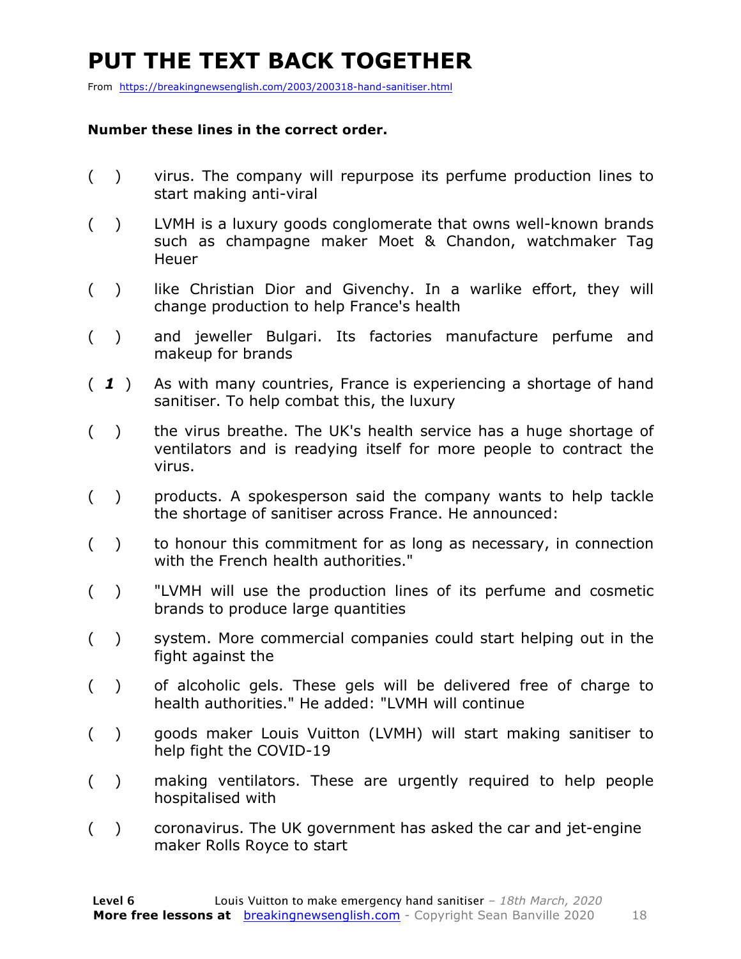### **PUT THE TEXT BACK TOGETHER**

From https://breakingnewsenglish.com/2003/200318-hand-sanitiser.html

#### **Number these lines in the correct order.**

- ( ) virus. The company will repurpose its perfume production lines to start making anti-viral
- ( ) LVMH is a luxury goods conglomerate that owns well-known brands such as champagne maker Moet & Chandon, watchmaker Tag **Heuer**
- () like Christian Dior and Givenchy. In a warlike effort, they will change production to help France's health
- ( ) and jeweller Bulgari. Its factories manufacture perfume and makeup for brands
- ( *1* ) As with many countries, France is experiencing a shortage of hand sanitiser. To help combat this, the luxury
- ( ) the virus breathe. The UK's health service has a huge shortage of ventilators and is readying itself for more people to contract the virus.
- ( ) products. A spokesperson said the company wants to help tackle the shortage of sanitiser across France. He announced:
- ( ) to honour this commitment for as long as necessary, in connection with the French health authorities."
- ( ) "LVMH will use the production lines of its perfume and cosmetic brands to produce large quantities
- ( ) system. More commercial companies could start helping out in the fight against the
- ( ) of alcoholic gels. These gels will be delivered free of charge to health authorities." He added: "LVMH will continue
- ( ) goods maker Louis Vuitton (LVMH) will start making sanitiser to help fight the COVID-19
- ( ) making ventilators. These are urgently required to help people hospitalised with
- ( ) coronavirus. The UK government has asked the car and jet-engine maker Rolls Royce to start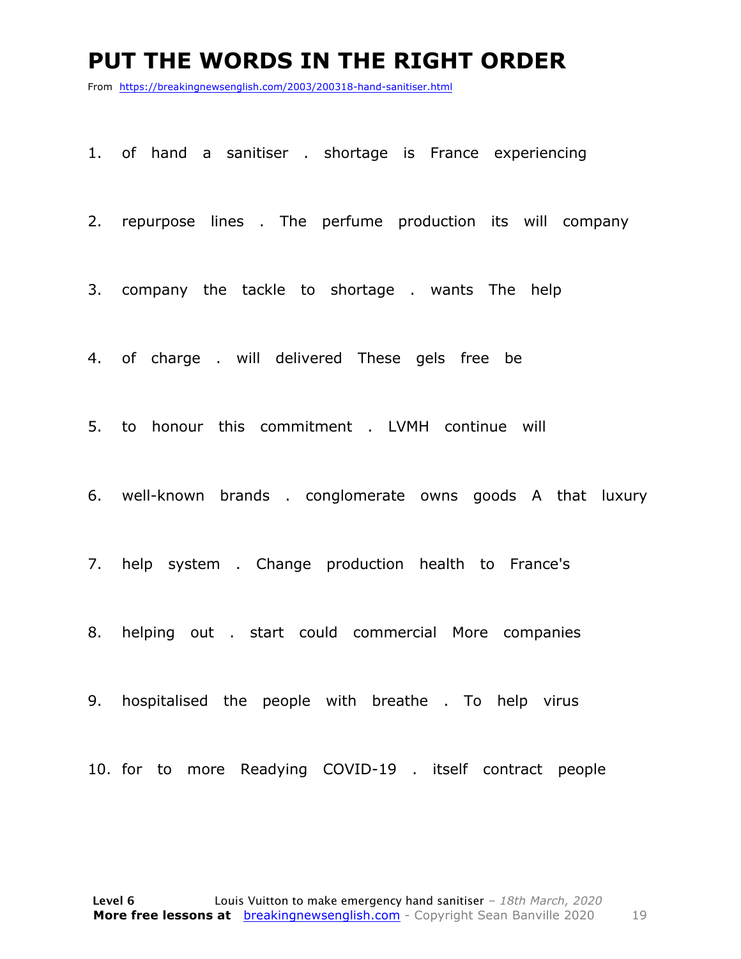#### **PUT THE WORDS IN THE RIGHT ORDER**

From https://breakingnewsenglish.com/2003/200318-hand-sanitiser.html

1. of hand a sanitiser . shortage is France experiencing

2. repurpose lines . The perfume production its will company

3. company the tackle to shortage . wants The help

4. of charge . will delivered These gels free be

5. to honour this commitment . LVMH continue will

6. well-known brands . conglomerate owns goods A that luxury

7. help system . Change production health to France's

8. helping out . start could commercial More companies

9. hospitalised the people with breathe . To help virus

10. for to more Readying COVID-19 . itself contract people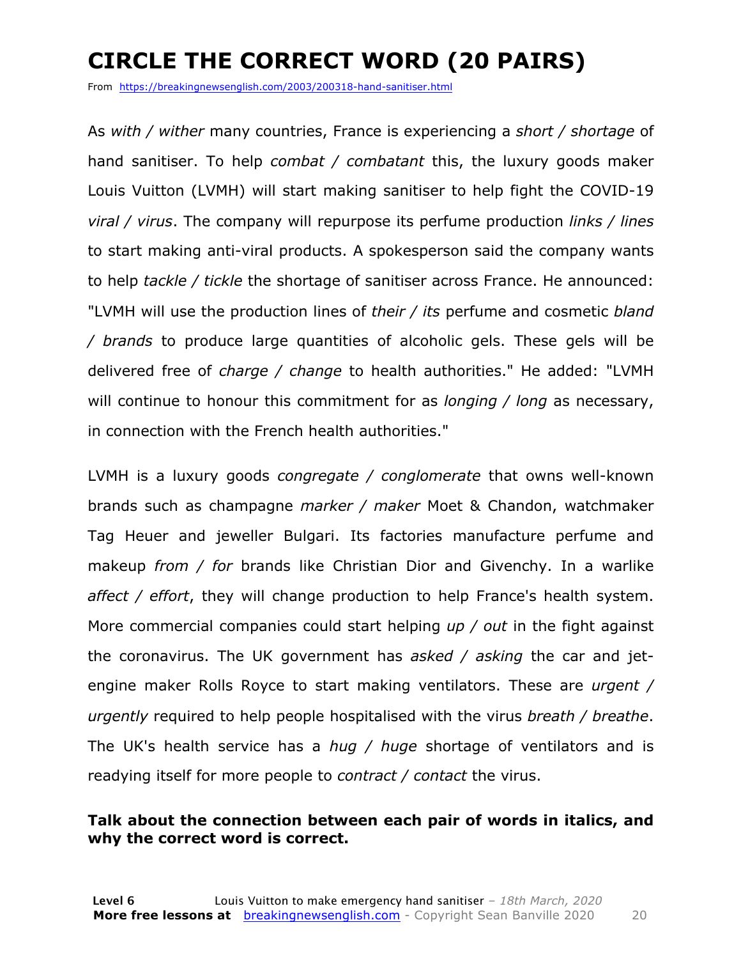### **CIRCLE THE CORRECT WORD (20 PAIRS)**

From https://breakingnewsenglish.com/2003/200318-hand-sanitiser.html

As *with / wither* many countries, France is experiencing a *short / shortage* of hand sanitiser. To help *combat / combatant* this, the luxury goods maker Louis Vuitton (LVMH) will start making sanitiser to help fight the COVID-19 *viral / virus*. The company will repurpose its perfume production *links / lines* to start making anti-viral products. A spokesperson said the company wants to help *tackle / tickle* the shortage of sanitiser across France. He announced: "LVMH will use the production lines of *their / its* perfume and cosmetic *bland / brands* to produce large quantities of alcoholic gels. These gels will be delivered free of *charge / change* to health authorities." He added: "LVMH will continue to honour this commitment for as *longing / long* as necessary, in connection with the French health authorities."

LVMH is a luxury goods *congregate / conglomerate* that owns well-known brands such as champagne *marker / maker* Moet & Chandon, watchmaker Tag Heuer and jeweller Bulgari. Its factories manufacture perfume and makeup *from / for* brands like Christian Dior and Givenchy. In a warlike *affect / effort*, they will change production to help France's health system. More commercial companies could start helping *up / out* in the fight against the coronavirus. The UK government has *asked / asking* the car and jetengine maker Rolls Royce to start making ventilators. These are *urgent / urgently* required to help people hospitalised with the virus *breath / breathe*. The UK's health service has a *hug / huge* shortage of ventilators and is readying itself for more people to *contract / contact* the virus.

#### **Talk about the connection between each pair of words in italics, and why the correct word is correct.**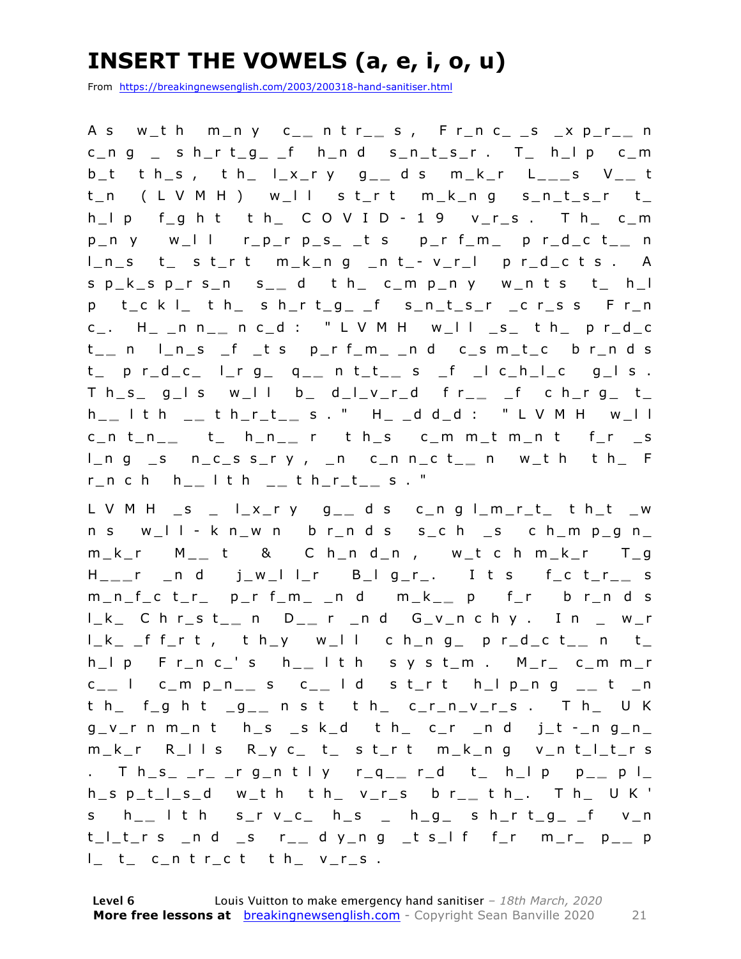### **INSERT THE VOWELS (a, e, i, o, u)**

From https://breakingnewsenglish.com/2003/200318-hand-sanitiser.html

A s w\_t h m\_n y c\_ **\_** n t r\_ **\_** s , F r\_n c\_ \_s \_x p\_r\_ **\_** n  $c_n$  g  $c_n$  s h\_r t\_g\_ \_f h\_n d s\_n\_t\_s\_r . T\_ h\_l p c\_m b\_t t h\_s , t h\_ l\_x\_r y g\_ **\_** d s m\_k\_r L\_ **\_ \_** s V\_ **\_** t t\_n ( L V M H ) w\_l l s t\_r t m\_k\_n g s\_n\_t\_s\_r t\_ h\_l p f\_g h t t h\_ C O V I D - 1 9 v\_r\_s . T h\_ c\_m  $p_n$  y w\_l l r\_p\_r  $p_s$ \_ t s  $p_r$  f\_m\_ p r\_d\_c t\_\_ n l\_n\_s t\_ s t\_r t m\_k\_n g \_n t\_ - v\_r\_l p r\_d\_c t s . A s p\_k\_s p\_r s\_n s\_ **\_** d t h\_ c\_m p\_n y w\_n t s t\_ h\_l p t\_c k l\_ t h\_ s h\_r t\_g\_ \_f s\_n\_t\_s\_r \_c r\_s s F r\_n c\_. H\_ \_n n\_ **\_** n c\_d : " L V M H w\_l l \_s\_ t h\_ p r\_d\_c t \_ **\_** n l\_n\_s \_f \_t s p\_r f\_m\_ \_n d c\_s m\_t\_c b r\_n d s t\_ p r\_d\_c\_ l\_r g\_ q\_ **\_** n t\_t\_ **\_** s \_f \_l c\_h\_l\_c g\_l s .  $T h_s = g_l s$  w\_l l b\_ d\_l\_v\_r\_d f r\_\_ \_f c h\_r g\_ t\_ h \_ **\_** l t h \_ **\_** t h\_r\_t\_ **\_** s . " H\_ \_d d\_d : " L V M H w\_l l c\_n t\_n\_ **\_** t\_ h\_n\_ **\_** r t h\_s c\_m m\_t m\_n t f\_r \_s l\_n g \_s n\_c\_s s\_r y , \_n c\_n n\_c t\_ **\_** n w\_t h t h\_ F r\_n c h h\_ **\_** l t h \_ **\_** t h\_r\_t\_ **\_** s . "

L V M H \_s \_ l\_x\_r y g\_ **\_** d s c\_n g l\_m\_r\_t\_ t h\_t \_w n s w\_l l - k n\_w n b r\_n d s s\_c h \_s c h\_m p\_g n\_ m\_k\_r M\_ **\_** t & C h\_n d\_n , w\_t c h m\_k\_r T\_g H \_ **\_ \_** r \_n d j\_w\_l l\_r B\_l g\_r\_. I t s f\_c t\_r\_ **\_** s m\_n\_f\_c t\_r\_ p\_r f\_m\_ \_n d m\_k\_ **\_** p f\_r b r\_n d s l\_k\_ C h r\_s t\_ **\_** n D\_ **\_** r \_n d G\_v\_n c h y . I n \_ w\_r l\_k\_ \_f f\_r t , t h\_y w\_l l c h\_n g\_ p r\_d\_c t\_ **\_** n t\_ h\_l p F r\_n c\_' s h\_ **\_** l t h s y s t\_m . M\_r\_ c\_m m\_r c \_ **\_** l c\_m p\_n\_ **\_** s c\_ **\_** l d s t\_r t h\_l p\_n g \_ **\_** t \_n t h\_ f\_g h t \_g\_ **\_** n s t t h\_ c\_r\_n\_v\_r\_s . T h\_ U K  $g_v$ rn m\_n t h\_s \_s k\_d t h\_ c\_r \_n d j\_t -\_n g\_n\_ m\_k\_r R\_l l s R\_y c\_ t\_ s t\_r t m\_k\_n g v\_n t\_l\_t\_r s . T h\_s\_ \_r\_ \_r g\_n t l y r\_q\_ **\_** r\_d t\_ h\_l p p\_ **\_** p l\_ h\_s p\_t\_l\_s\_d w\_t h t h\_ v\_r\_s b r\_ **\_** t h\_. T h\_ U K ' s h\_ **\_** l t h s\_r v\_c\_ h\_s \_ h\_g\_ s h\_r t\_g\_ \_f v\_n t\_l\_t\_r s \_n d \_s r\_ **\_** d y\_n g \_t s\_l f f\_r m\_r\_ p\_ **\_** p l\_ t\_ c\_n t r\_c t t h\_ v\_r\_s .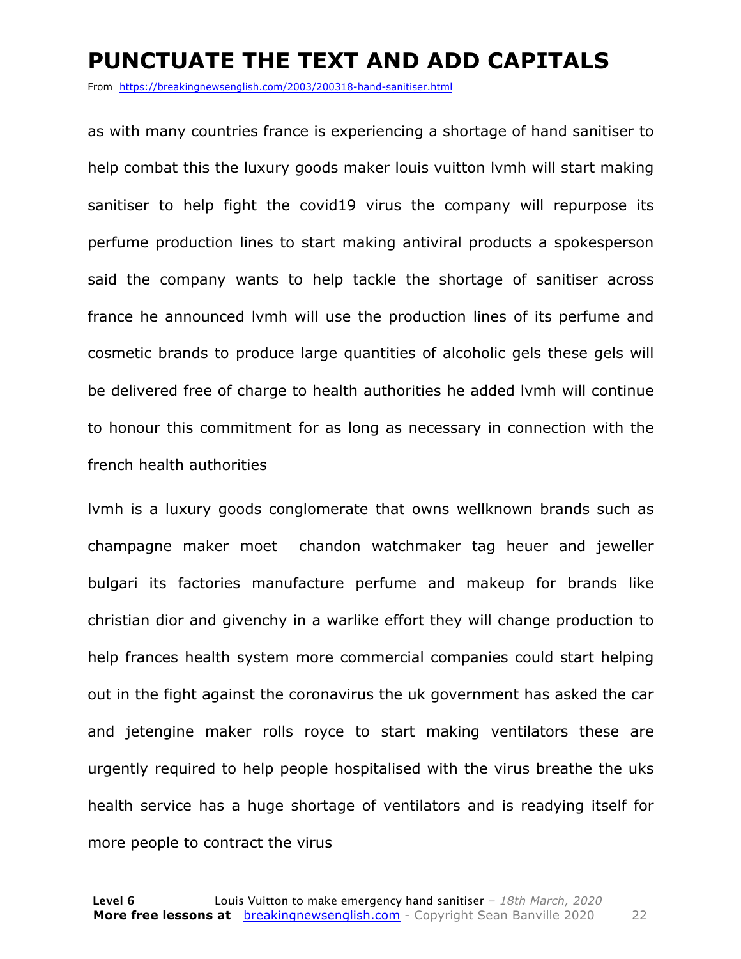#### **PUNCTUATE THE TEXT AND ADD CAPITALS**

From https://breakingnewsenglish.com/2003/200318-hand-sanitiser.html

as with many countries france is experiencing a shortage of hand sanitiser to help combat this the luxury goods maker louis vuitton lvmh will start making sanitiser to help fight the covid19 virus the company will repurpose its perfume production lines to start making antiviral products a spokesperson said the company wants to help tackle the shortage of sanitiser across france he announced lvmh will use the production lines of its perfume and cosmetic brands to produce large quantities of alcoholic gels these gels will be delivered free of charge to health authorities he added lvmh will continue to honour this commitment for as long as necessary in connection with the french health authorities

lvmh is a luxury goods conglomerate that owns wellknown brands such as champagne maker moet chandon watchmaker tag heuer and jeweller bulgari its factories manufacture perfume and makeup for brands like christian dior and givenchy in a warlike effort they will change production to help frances health system more commercial companies could start helping out in the fight against the coronavirus the uk government has asked the car and jetengine maker rolls royce to start making ventilators these are urgently required to help people hospitalised with the virus breathe the uks health service has a huge shortage of ventilators and is readying itself for more people to contract the virus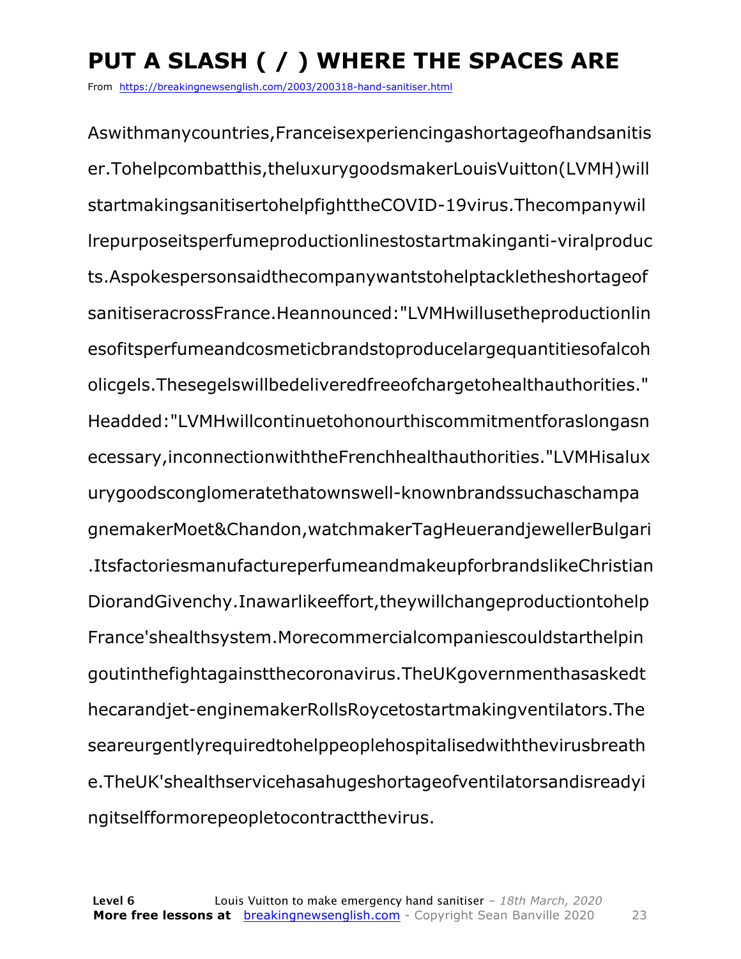## **PUT A SLASH ( / ) WHERE THE SPACES ARE**

From https://breakingnewsenglish.com/2003/200318-hand-sanitiser.html

Aswithmanycountries,Franceisexperiencingashortageofhandsanitis er.Tohelpcombatthis,theluxurygoodsmakerLouisVuitton(LVMH)will startmakingsanitisertohelpfighttheCOVID-19virus.Thecompanywil lrepurposeitsperfumeproductionlinestostartmakinganti-viralproduc ts.Aspokespersonsaidthecompanywantstohelptackletheshortageof sanitiseracrossFrance.Heannounced:"LVMHwillusetheproductionlin esofitsperfumeandcosmeticbrandstoproducelargequantitiesofalcoh olicgels.Thesegelswillbedeliveredfreeofchargetohealthauthorities." Headded:"LVMHwillcontinuetohonourthiscommitmentforaslongasn ecessary,inconnectionwiththeFrenchhealthauthorities."LVMHisalux urygoodsconglomeratethatownswell-knownbrandssuchaschampa gnemakerMoet&Chandon,watchmakerTagHeuerandjewellerBulgari .ItsfactoriesmanufactureperfumeandmakeupforbrandslikeChristian DiorandGivenchy.Inawarlikeeffort,theywillchangeproductiontohelp France'shealthsystem.Morecommercialcompaniescouldstarthelpin goutinthefightagainstthecoronavirus.TheUKgovernmenthasaskedt hecarandjet-enginemakerRollsRoycetostartmakingventilators.The seareurgentlyrequiredtohelppeoplehospitalisedwiththevirusbreath e.TheUK'shealthservicehasahugeshortageofventilatorsandisreadyi ngitselfformorepeopletocontractthevirus.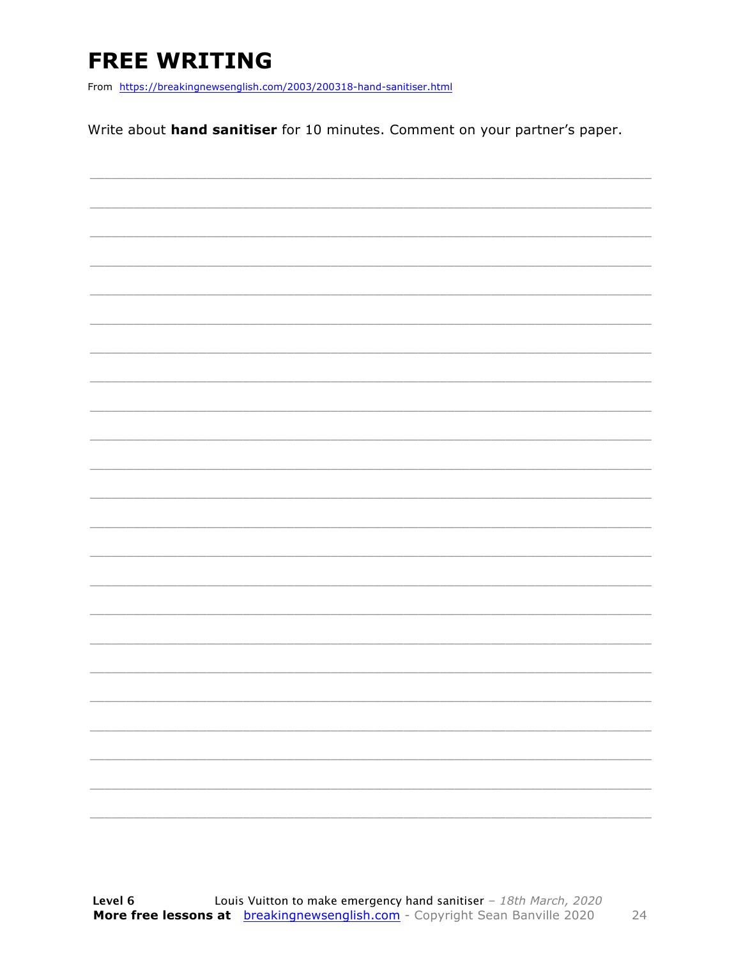### **FREE WRITING**

From https://breakingnewsenglish.com/2003/200318-hand-sanitiser.html

Write about hand sanitiser for 10 minutes. Comment on your partner's paper.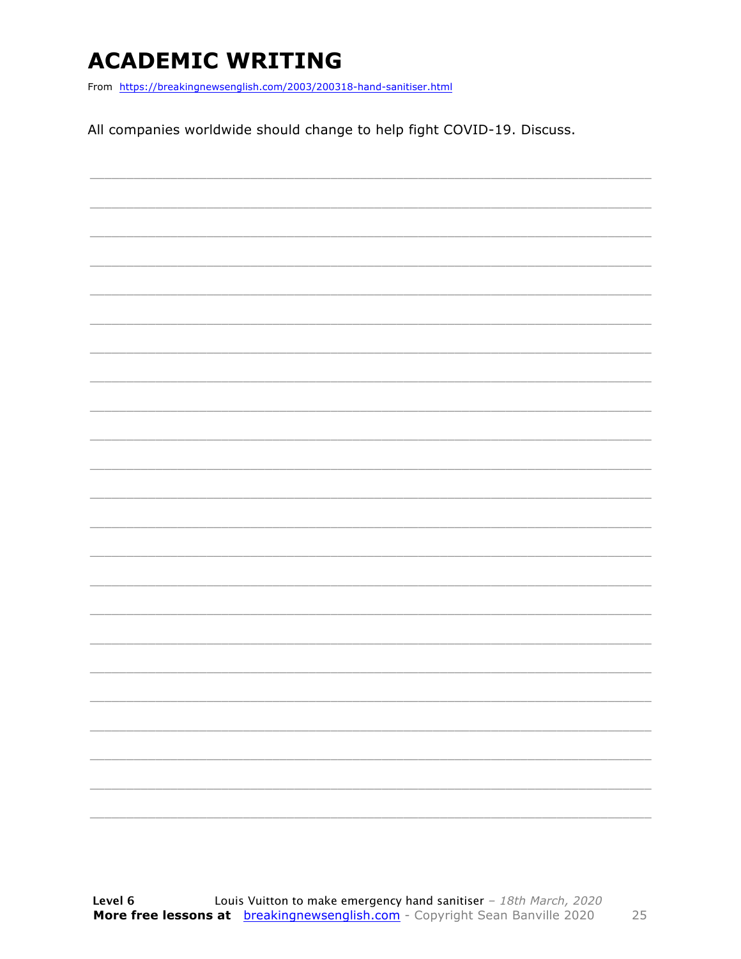### **ACADEMIC WRITING**

From https://breakingnewsenglish.com/2003/200318-hand-sanitiser.html

All companies worldwide should change to help fight COVID-19. Discuss.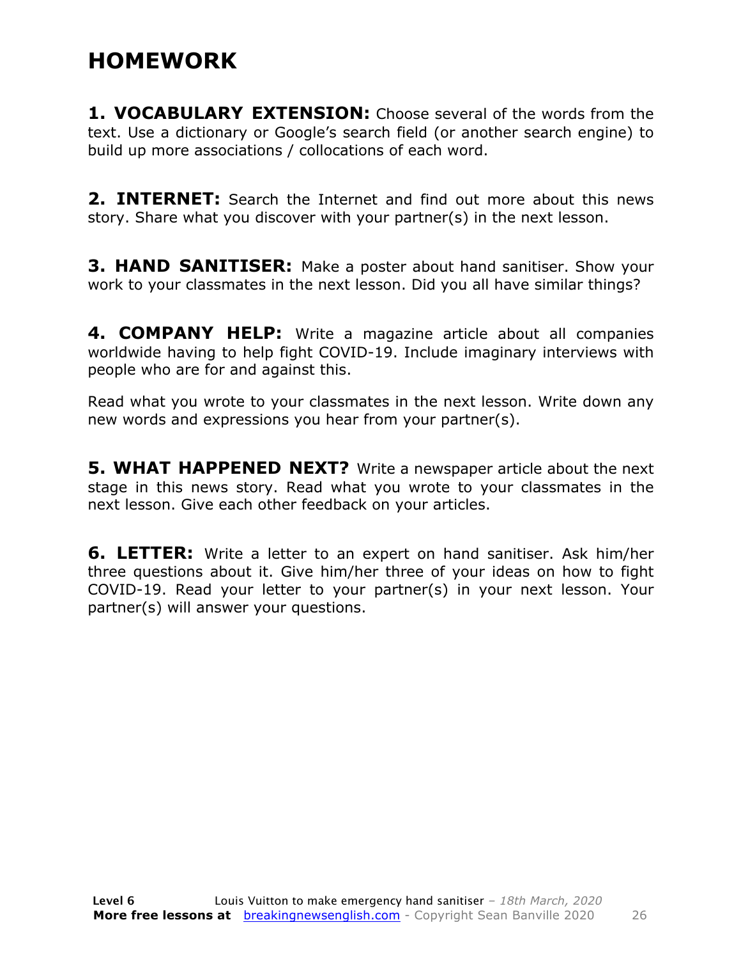### **HOMEWORK**

**1. VOCABULARY EXTENSION:** Choose several of the words from the text. Use a dictionary or Google's search field (or another search engine) to build up more associations / collocations of each word.

**2. INTERNET:** Search the Internet and find out more about this news story. Share what you discover with your partner(s) in the next lesson.

**3. HAND SANITISER:** Make a poster about hand sanitiser. Show your work to your classmates in the next lesson. Did you all have similar things?

**4. COMPANY HELP:** Write a magazine article about all companies worldwide having to help fight COVID-19. Include imaginary interviews with people who are for and against this.

Read what you wrote to your classmates in the next lesson. Write down any new words and expressions you hear from your partner(s).

**5. WHAT HAPPENED NEXT?** Write a newspaper article about the next stage in this news story. Read what you wrote to your classmates in the next lesson. Give each other feedback on your articles.

**6. LETTER:** Write a letter to an expert on hand sanitiser. Ask him/her three questions about it. Give him/her three of your ideas on how to fight COVID-19. Read your letter to your partner(s) in your next lesson. Your partner(s) will answer your questions.